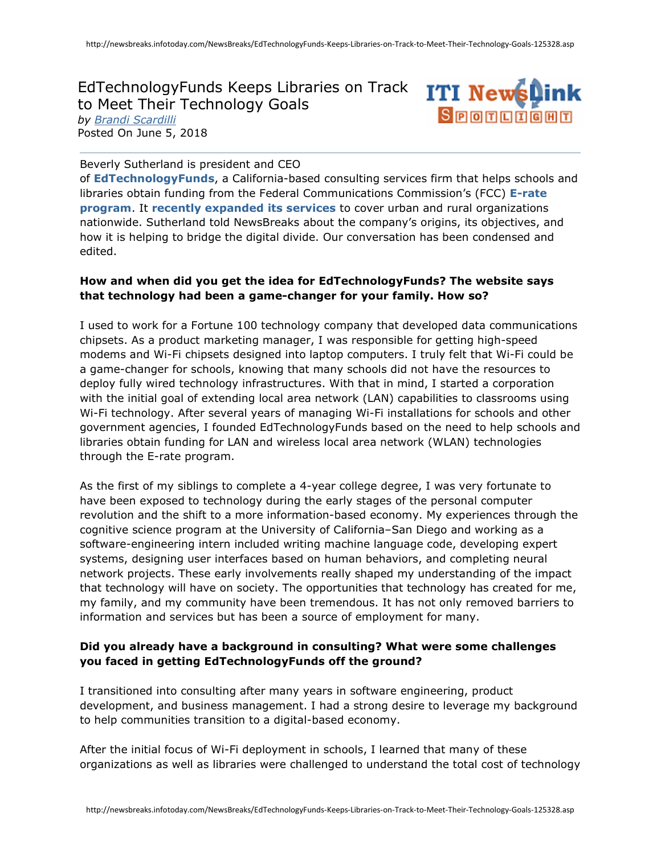EdTechnologyFunds Keeps Libraries on Track to Meet Their Technology Goals *by [Brandi Scardilli](javascript:authorSearch()* Posted On June 5, 2018



Beverly Sutherland is president and CEO

of **[EdTechnologyFunds](http://edtechnologyfunds.com/)**, a California-based consulting services firm that helps schools and libraries obtain funding from the Federal Communications Commission's (FCC) **[E-rate](https://www.fcc.gov/consumers/guides/universal-service-program-schools-and-libraries-e-rate)  [program](https://www.fcc.gov/consumers/guides/universal-service-program-schools-and-libraries-e-rate)**. It **[recently expanded its services](https://www.prnewswire.com/news-releases/edtechnologyfunds-inc-announces-the-expansion-of-its-e-rate-consulting-and-broadband-planning-services-to-urban-and-rural-libraries-nationwide-300615941.html)** to cover urban and rural organizations nationwide. Sutherland told NewsBreaks about the company's origins, its objectives, and how it is helping to bridge the digital divide. Our conversation has been condensed and edited.

### **How and when did you get the idea for EdTechnologyFunds? The website says that technology had been a game-changer for your family. How so?**

I used to work for a Fortune 100 technology company that developed data communications chipsets. As a product marketing manager, I was responsible for getting high-speed modems and Wi-Fi chipsets designed into laptop computers. I truly felt that Wi-Fi could be a game-changer for schools, knowing that many schools did not have the resources to deploy fully wired technology infrastructures. With that in mind, I started a corporation with the initial goal of extending local area network (LAN) capabilities to classrooms using Wi-Fi technology. After several years of managing Wi-Fi installations for schools and other government agencies, I founded EdTechnologyFunds based on the need to help schools and libraries obtain funding for LAN and wireless local area network (WLAN) technologies through the E-rate program.

As the first of my siblings to complete a 4-year college degree, I was very fortunate to have been exposed to technology during the early stages of the personal computer revolution and the shift to a more information-based economy. My experiences through the cognitive science program at the University of California–San Diego and working as a software-engineering intern included writing machine language code, developing expert systems, designing user interfaces based on human behaviors, and completing neural network projects. These early involvements really shaped my understanding of the impact that technology will have on society. The opportunities that technology has created for me, my family, and my community have been tremendous. It has not only removed barriers to information and services but has been a source of employment for many.

## **Did you already have a background in consulting? What were some challenges you faced in getting EdTechnologyFunds off the ground?**

I transitioned into consulting after many years in software engineering, product development, and business management. I had a strong desire to leverage my background to help communities transition to a digital-based economy.

After the initial focus of Wi-Fi deployment in schools, I learned that many of these organizations as well as libraries were challenged to understand the total cost of technology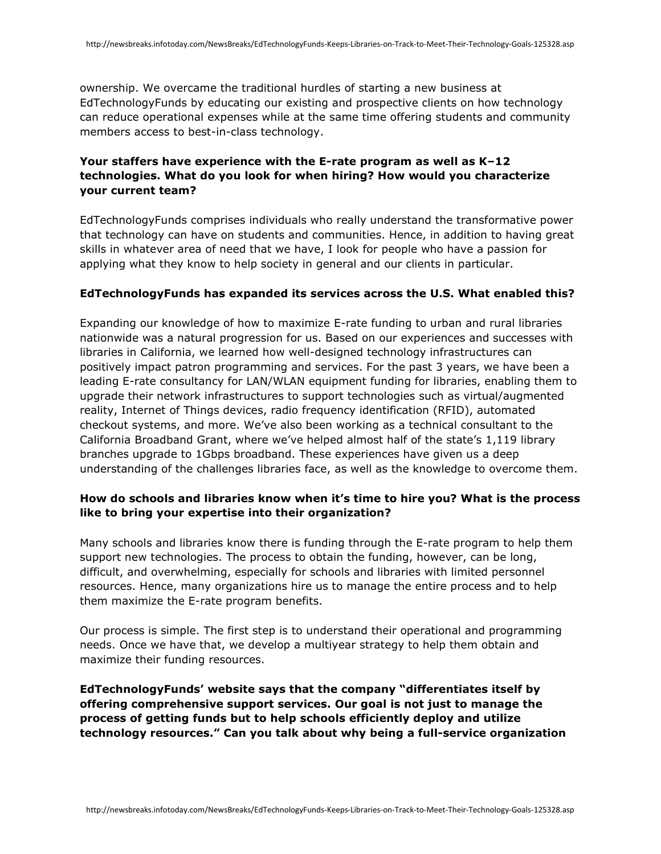ownership. We overcame the traditional hurdles of starting a new business at EdTechnologyFunds by educating our existing and prospective clients on how technology can reduce operational expenses while at the same time offering students and community members access to best-in-class technology.

# **Your staffers have experience with the E-rate program as well as K–12 technologies. What do you look for when hiring? How would you characterize your current team?**

EdTechnologyFunds comprises individuals who really understand the transformative power that technology can have on students and communities. Hence, in addition to having great skills in whatever area of need that we have, I look for people who have a passion for applying what they know to help society in general and our clients in particular.

### **EdTechnologyFunds has expanded its services across the U.S. What enabled this?**

Expanding our knowledge of how to maximize E-rate funding to urban and rural libraries nationwide was a natural progression for us. Based on our experiences and successes with libraries in California, we learned how well-designed technology infrastructures can positively impact patron programming and services. For the past 3 years, we have been a leading E-rate consultancy for LAN/WLAN equipment funding for libraries, enabling them to upgrade their network infrastructures to support technologies such as virtual/augmented reality, Internet of Things devices, radio frequency identification (RFID), automated checkout systems, and more. We've also been working as a technical consultant to the California Broadband Grant, where we've helped almost half of the state's 1,119 library branches upgrade to 1Gbps broadband. These experiences have given us a deep understanding of the challenges libraries face, as well as the knowledge to overcome them.

## **How do schools and libraries know when it's time to hire you? What is the process like to bring your expertise into their organization?**

Many schools and libraries know there is funding through the E-rate program to help them support new technologies. The process to obtain the funding, however, can be long, difficult, and overwhelming, especially for schools and libraries with limited personnel resources. Hence, many organizations hire us to manage the entire process and to help them maximize the E-rate program benefits.

Our process is simple. The first step is to understand their operational and programming needs. Once we have that, we develop a multiyear strategy to help them obtain and maximize their funding resources.

**EdTechnologyFunds' website says that the company "differentiates itself by offering comprehensive support services. Our goal is not just to manage the process of getting funds but to help schools efficiently deploy and utilize technology resources." Can you talk about why being a full-service organization**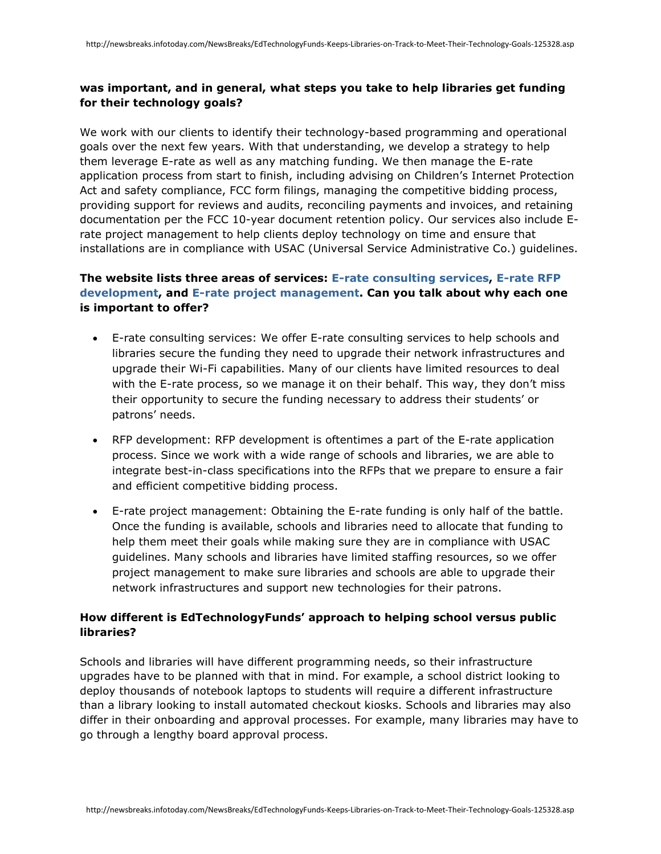### **was important, and in general, what steps you take to help libraries get funding for their technology goals?**

We work with our clients to identify their technology-based programming and operational goals over the next few years. With that understanding, we develop a strategy to help them leverage E-rate as well as any matching funding. We then manage the E-rate application process from start to finish, including advising on Children's Internet Protection Act and safety compliance, FCC form filings, managing the competitive bidding process, providing support for reviews and audits, reconciling payments and invoices, and retaining documentation per the FCC 10-year document retention policy. Our services also include Erate project management to help clients deploy technology on time and ensure that installations are in compliance with USAC (Universal Service Administrative Co.) guidelines.

# **The website lists three areas of services: [E-rate consulting services,](http://edtechnologyfunds.com/e-rate-services-overview/e-rate-consulting-services/) [E-rate RFP](http://edtechnologyfunds.com/e-rate-services-overview/e-rate-rfp-development/)  [development,](http://edtechnologyfunds.com/e-rate-services-overview/e-rate-rfp-development/) and [E-rate project management.](http://edtechnologyfunds.com/e-rate-services-overview/e-rate-project-management/) Can you talk about why each one is important to offer?**

- E-rate consulting services: We offer E-rate consulting services to help schools and libraries secure the funding they need to upgrade their network infrastructures and upgrade their Wi-Fi capabilities. Many of our clients have limited resources to deal with the E-rate process, so we manage it on their behalf. This way, they don't miss their opportunity to secure the funding necessary to address their students' or patrons' needs.
- RFP development: RFP development is oftentimes a part of the E-rate application process. Since we work with a wide range of schools and libraries, we are able to integrate best-in-class specifications into the RFPs that we prepare to ensure a fair and efficient competitive bidding process.
- E-rate project management: Obtaining the E-rate funding is only half of the battle. Once the funding is available, schools and libraries need to allocate that funding to help them meet their goals while making sure they are in compliance with USAC guidelines. Many schools and libraries have limited staffing resources, so we offer project management to make sure libraries and schools are able to upgrade their network infrastructures and support new technologies for their patrons.

## **How different is EdTechnologyFunds' approach to helping school versus public libraries?**

Schools and libraries will have different programming needs, so their infrastructure upgrades have to be planned with that in mind. For example, a school district looking to deploy thousands of notebook laptops to students will require a different infrastructure than a library looking to install automated checkout kiosks. Schools and libraries may also differ in their onboarding and approval processes. For example, many libraries may have to go through a lengthy board approval process.